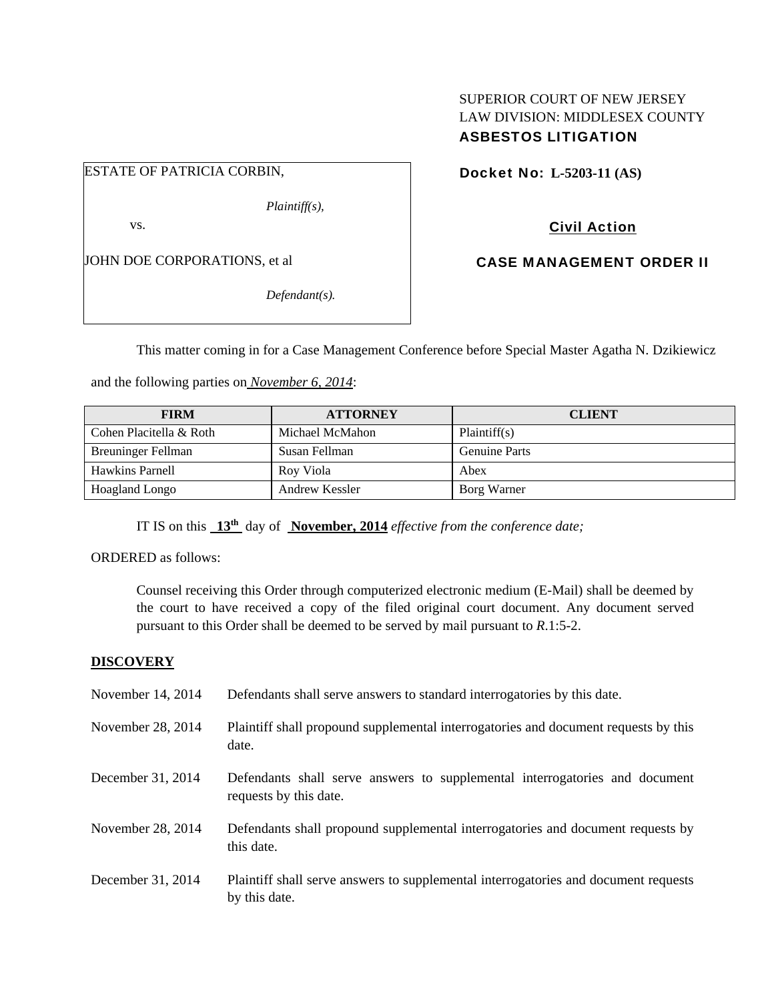## SUPERIOR COURT OF NEW JERSEY LAW DIVISION: MIDDLESEX COUNTY ASBESTOS LITIGATION

ESTATE OF PATRICIA CORBIN,

*Plaintiff(s),* 

vs.

JOHN DOE CORPORATIONS, et al

*Defendant(s).* 

Docket No: **L-5203-11 (AS)** 

Civil Action

CASE MANAGEMENT ORDER II

This matter coming in for a Case Management Conference before Special Master Agatha N. Dzikiewicz

and the following parties on *November 6, 2014*:

| <b>FIRM</b>               | <b>ATTORNEY</b> | <b>CLIENT</b>        |
|---------------------------|-----------------|----------------------|
| Cohen Placitella & Roth   | Michael McMahon | Plaintiff(s)         |
| <b>Breuninger Fellman</b> | Susan Fellman   | <b>Genuine Parts</b> |
| <b>Hawkins Parnell</b>    | Roy Viola       | Abex                 |
| <b>Hoagland Longo</b>     | Andrew Kessler  | Borg Warner          |

IT IS on this **13th** day of **November, 2014** *effective from the conference date;*

ORDERED as follows:

Counsel receiving this Order through computerized electronic medium (E-Mail) shall be deemed by the court to have received a copy of the filed original court document. Any document served pursuant to this Order shall be deemed to be served by mail pursuant to *R*.1:5-2.

## **DISCOVERY**

| November 14, 2014 | Defendants shall serve answers to standard interrogatories by this date.                              |
|-------------------|-------------------------------------------------------------------------------------------------------|
| November 28, 2014 | Plaintiff shall propound supplemental interrogatories and document requests by this<br>date.          |
| December 31, 2014 | Defendants shall serve answers to supplemental interrogatories and document<br>requests by this date. |
| November 28, 2014 | Defendants shall propound supplemental interrogatories and document requests by<br>this date.         |
| December 31, 2014 | Plaintiff shall serve answers to supplemental interrogatories and document requests<br>by this date.  |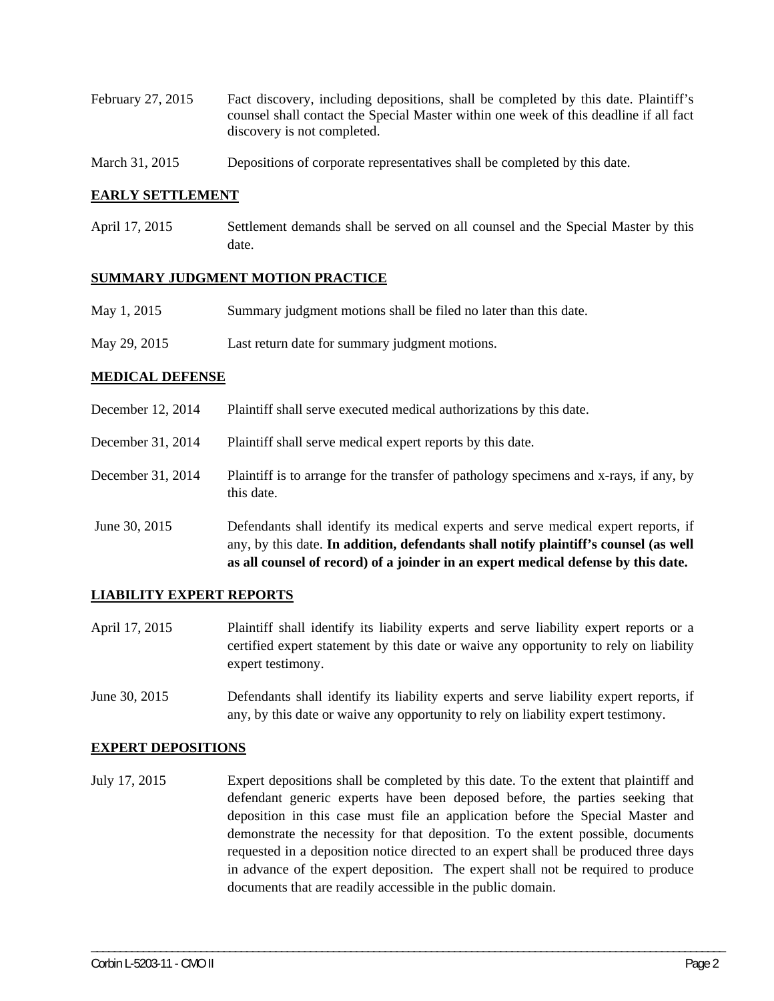- February 27, 2015 Fact discovery, including depositions, shall be completed by this date. Plaintiff's counsel shall contact the Special Master within one week of this deadline if all fact discovery is not completed.
- March 31, 2015 Depositions of corporate representatives shall be completed by this date.

#### **EARLY SETTLEMENT**

April 17, 2015 Settlement demands shall be served on all counsel and the Special Master by this date.

#### **SUMMARY JUDGMENT MOTION PRACTICE**

May 29, 2015 Last return date for summary judgment motions.

#### **MEDICAL DEFENSE**

- December 12, 2014 Plaintiff shall serve executed medical authorizations by this date.
- December 31, 2014 Plaintiff shall serve medical expert reports by this date.
- December 31, 2014 Plaintiff is to arrange for the transfer of pathology specimens and x-rays, if any, by this date.
- June 30, 2015 Defendants shall identify its medical experts and serve medical expert reports, if any, by this date. **In addition, defendants shall notify plaintiff's counsel (as well as all counsel of record) of a joinder in an expert medical defense by this date.**

#### **LIABILITY EXPERT REPORTS**

- April 17, 2015 Plaintiff shall identify its liability experts and serve liability expert reports or a certified expert statement by this date or waive any opportunity to rely on liability expert testimony.
- June 30, 2015 Defendants shall identify its liability experts and serve liability expert reports, if any, by this date or waive any opportunity to rely on liability expert testimony.

#### **EXPERT DEPOSITIONS**

July 17, 2015 Expert depositions shall be completed by this date. To the extent that plaintiff and defendant generic experts have been deposed before, the parties seeking that deposition in this case must file an application before the Special Master and demonstrate the necessity for that deposition. To the extent possible, documents requested in a deposition notice directed to an expert shall be produced three days in advance of the expert deposition. The expert shall not be required to produce documents that are readily accessible in the public domain.

\_\_\_\_\_\_\_\_\_\_\_\_\_\_\_\_\_\_\_\_\_\_\_\_\_\_\_\_\_\_\_\_\_\_\_\_\_\_\_\_\_\_\_\_\_\_\_\_\_\_\_\_\_\_\_\_\_\_\_\_\_\_\_\_\_\_\_\_\_\_\_\_\_\_\_\_\_\_\_\_\_\_\_\_\_\_\_\_\_\_\_\_\_\_\_\_\_\_\_\_\_\_\_\_\_\_\_\_\_\_